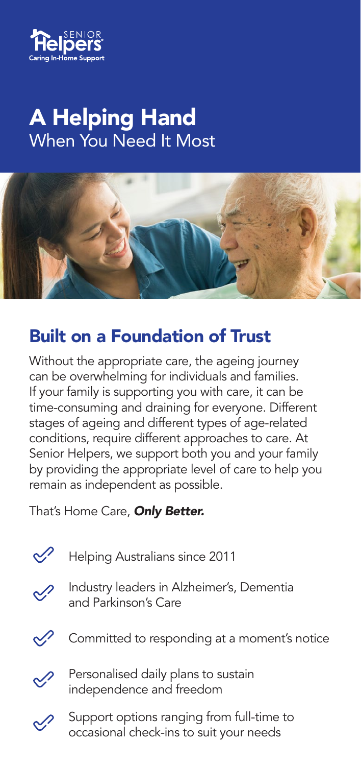

# A Helping Hand When You Need It Most



### Built on a Foundation of Trust

Without the appropriate care, the ageing journey can be overwhelming for individuals and families. If your family is supporting you with care, it can be time-consuming and draining for everyone. Different stages of ageing and different types of age-related conditions, require different approaches to care. At Senior Helpers, we support both you and your family by providing the appropriate level of care to help you remain as independent as possible.

That's Home Care, *Only Better.* 

Helping Australians since 2011



Industry leaders in Alzheimer's, Dementia and Parkinson's Care



Committed to responding at a moment's notice



Personalised daily plans to sustain independence and freedom



Support options ranging from full-time to occasional check-ins to suit your needs